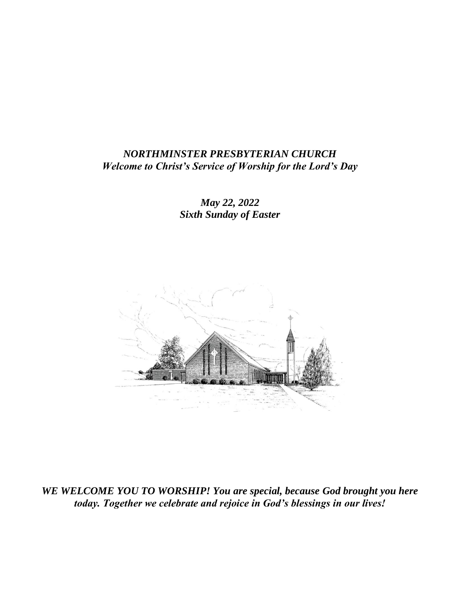#### *NORTHMINSTER PRESBYTERIAN CHURCH Welcome to Christ's Service of Worship for the Lord's Day*

*May 22, 2022 Sixth Sunday of Easter*



*WE WELCOME YOU TO WORSHIP! You are special, because God brought you here today. Together we celebrate and rejoice in God's blessings in our lives!*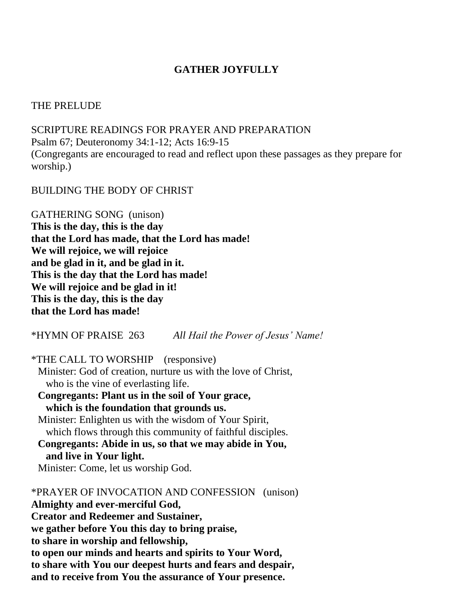## **GATHER JOYFULLY**

#### THE PRELUDE

SCRIPTURE READINGS FOR PRAYER AND PREPARATION Psalm 67; Deuteronomy 34:1-12; Acts 16:9-15 (Congregants are encouraged to read and reflect upon these passages as they prepare for worship.)

BUILDING THE BODY OF CHRIST

GATHERING SONG (unison) **This is the day, this is the day that the Lord has made, that the Lord has made! We will rejoice, we will rejoice and be glad in it, and be glad in it. This is the day that the Lord has made! We will rejoice and be glad in it! This is the day, this is the day that the Lord has made!**

\*HYMN OF PRAISE 263 *All Hail the Power of Jesus' Name!*

\*THE CALL TO WORSHIP (responsive)

Minister: God of creation, nurture us with the love of Christ, who is the vine of everlasting life.

**Congregants: Plant us in the soil of Your grace, which is the foundation that grounds us.**

Minister: Enlighten us with the wisdom of Your Spirit, which flows through this community of faithful disciples. **Congregants: Abide in us, so that we may abide in You, and live in Your light.**

Minister: Come, let us worship God.

\*PRAYER OF INVOCATION AND CONFESSION (unison) **Almighty and ever-merciful God, Creator and Redeemer and Sustainer, we gather before You this day to bring praise, to share in worship and fellowship, to open our minds and hearts and spirits to Your Word, to share with You our deepest hurts and fears and despair, and to receive from You the assurance of Your presence.**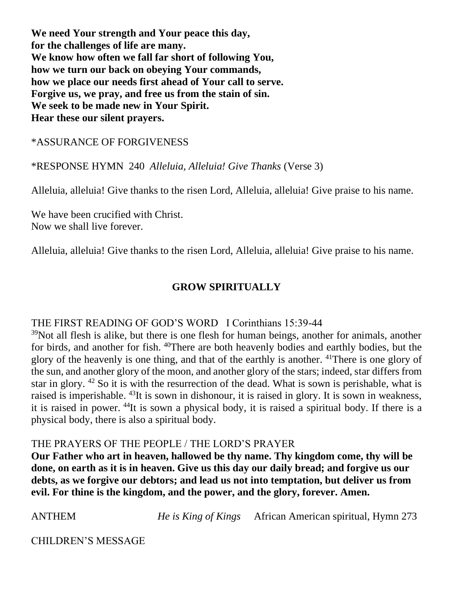**We need Your strength and Your peace this day, for the challenges of life are many. We know how often we fall far short of following You, how we turn our back on obeying Your commands, how we place our needs first ahead of Your call to serve. Forgive us, we pray, and free us from the stain of sin. We seek to be made new in Your Spirit. Hear these our silent prayers.**

\*ASSURANCE OF FORGIVENESS

\*RESPONSE HYMN 240 *Alleluia, Alleluia! Give Thanks* (Verse 3)

Alleluia, alleluia! Give thanks to the risen Lord, Alleluia, alleluia! Give praise to his name.

We have been crucified with Christ. Now we shall live forever.

Alleluia, alleluia! Give thanks to the risen Lord, Alleluia, alleluia! Give praise to his name.

# **GROW SPIRITUALLY**

## THE FIRST READING OF GOD'S WORD I Corinthians 15:39-44

<sup>39</sup>Not all flesh is alike, but there is one flesh for human beings, another for animals, another for birds, and another for fish. <sup>40</sup>There are both heavenly bodies and earthly bodies, but the glory of the heavenly is one thing, and that of the earthly is another. <sup>41</sup>There is one glory of the sun, and another glory of the moon, and another glory of the stars; indeed, star differs from star in glory. <sup>42</sup> So it is with the resurrection of the dead. What is sown is perishable, what is raised is imperishable. <sup>43</sup>It is sown in dishonour, it is raised in glory. It is sown in weakness, it is raised in power. <sup>44</sup>It is sown a physical body, it is raised a spiritual body. If there is a physical body, there is also a spiritual body.

## THE PRAYERS OF THE PEOPLE / THE LORD'S PRAYER

**Our Father who art in heaven, hallowed be thy name. Thy kingdom come, thy will be done, on earth as it is in heaven. Give us this day our daily bread; and forgive us our debts, as we forgive our debtors; and lead us not into temptation, but deliver us from evil. For thine is the kingdom, and the power, and the glory, forever. Amen.**

ANTHEM *He is King of Kings* African American spiritual, Hymn 273

CHILDREN'S MESSAGE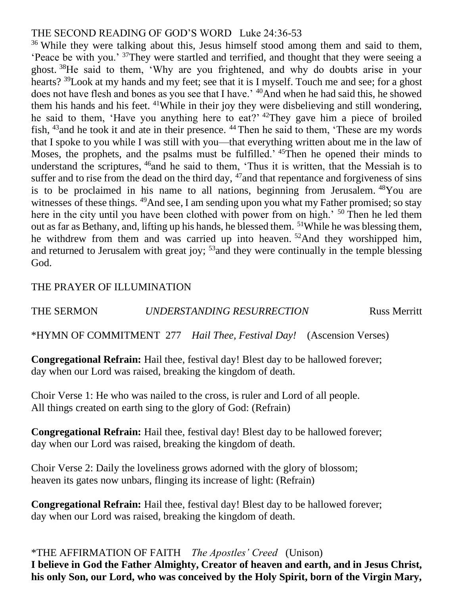### THE SECOND READING OF GOD'S WORD Luke 24:36-53

<sup>36</sup> While they were talking about this, Jesus himself stood among them and said to them, 'Peace be with you.' <sup>37</sup>They were startled and terrified, and thought that they were seeing a ghost. <sup>38</sup>He said to them, 'Why are you frightened, and why do doubts arise in your hearts? <sup>39</sup>Look at my hands and my feet; see that it is I myself. Touch me and see; for a ghost does not have flesh and bones as you see that I have.' <sup>40</sup>And when he had said this, he showed them his hands and his feet. <sup>41</sup>While in their joy they were disbelieving and still wondering, he said to them, 'Have you anything here to eat?' <sup>42</sup>They gave him a piece of broiled fish, <sup>43</sup>and he took it and ate in their presence. <sup>44</sup> Then he said to them, 'These are my words that I spoke to you while I was still with you—that everything written about me in the law of Moses, the prophets, and the psalms must be fulfilled.' <sup>45</sup>Then he opened their minds to understand the scriptures, <sup>46</sup>and he said to them, 'Thus it is written, that the Messiah is to suffer and to rise from the dead on the third day,  $47$  and that repentance and forgiveness of sins is to be proclaimed in his name to all nations, beginning from Jerusalem. <sup>48</sup>You are witnesses of these things. <sup>49</sup>And see, I am sending upon you what my Father promised; so stay here in the city until you have been clothed with power from on high.<sup>' 50</sup> Then he led them out as far as Bethany, and, lifting up his hands, he blessed them. <sup>51</sup>While he was blessing them, he withdrew from them and was carried up into heaven. <sup>52</sup>And they worshipped him, and returned to Jerusalem with great joy; <sup>53</sup> and they were continually in the temple blessing God.

#### THE PRAYER OF ILLUMINATION

## THE SERMON *UNDERSTANDING RESURRECTION* Russ Merritt

\*HYMN OF COMMITMENT 277 *Hail Thee, Festival Day!* (Ascension Verses)

**Congregational Refrain:** Hail thee, festival day! Blest day to be hallowed forever; day when our Lord was raised, breaking the kingdom of death.

Choir Verse 1: He who was nailed to the cross, is ruler and Lord of all people. All things created on earth sing to the glory of God: (Refrain)

**Congregational Refrain:** Hail thee, festival day! Blest day to be hallowed forever; day when our Lord was raised, breaking the kingdom of death.

Choir Verse 2: Daily the loveliness grows adorned with the glory of blossom; heaven its gates now unbars, flinging its increase of light: (Refrain)

**Congregational Refrain:** Hail thee, festival day! Blest day to be hallowed forever; day when our Lord was raised, breaking the kingdom of death.

\*THE AFFIRMATION OF FAITH *The Apostles' Creed* (Unison) **I believe in God the Father Almighty, Creator of heaven and earth, and in Jesus Christ, his only Son, our Lord, who was conceived by the Holy Spirit, born of the Virgin Mary,**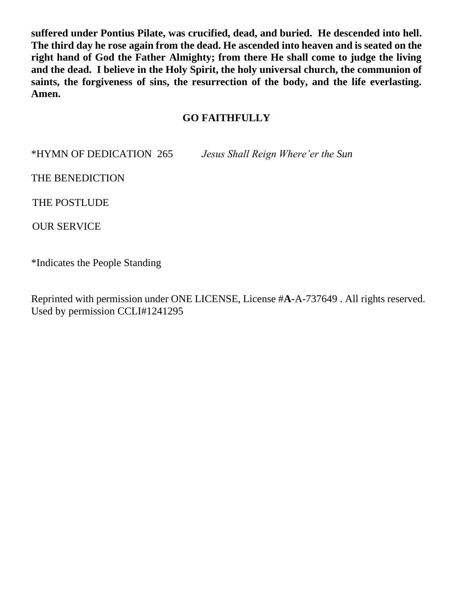**suffered under Pontius Pilate, was crucified, dead, and buried. He descended into hell. The third day he rose again from the dead. He ascended into heaven and is seated on the right hand of God the Father Almighty; from there He shall come to judge the living and the dead. I believe in the Holy Spirit, the holy universal church, the communion of saints, the forgiveness of sins, the resurrection of the body, and the life everlasting. Amen.**

#### **GO FAITHFULLY**

\*HYMN OF DEDICATION 265 *Jesus Shall Reign Where'er the Sun*

THE BENEDICTION

THE POSTLUDE

OUR SERVICE

\*Indicates the People Standing

Reprinted with permission under ONE LICENSE, License #**A-**A-737649 . All rights reserved. Used by permission CCLI#1241295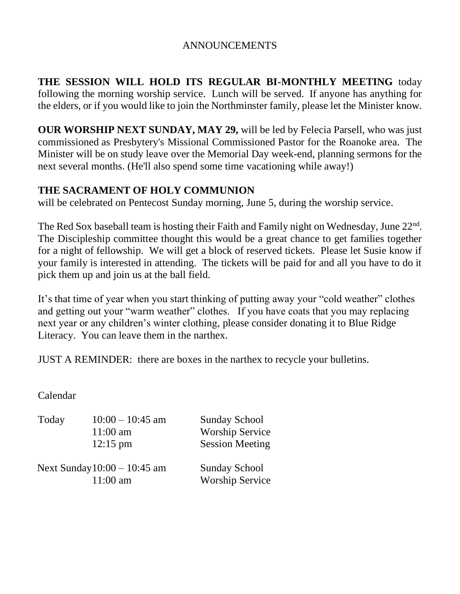### ANNOUNCEMENTS

**THE SESSION WILL HOLD ITS REGULAR BI-MONTHLY MEETING** today following the morning worship service. Lunch will be served. If anyone has anything for the elders, or if you would like to join the Northminster family, please let the Minister know.

**OUR WORSHIP NEXT SUNDAY, MAY 29,** will be led by Felecia Parsell, who was just commissioned as Presbytery's Missional Commissioned Pastor for the Roanoke area. The Minister will be on study leave over the Memorial Day week-end, planning sermons for the next several months. (He'll also spend some time vacationing while away!)

#### **THE SACRAMENT OF HOLY COMMUNION**

will be celebrated on Pentecost Sunday morning, June 5, during the worship service.

The Red Sox baseball team is hosting their Faith and Family night on Wednesday, June  $22<sup>nd</sup>$ . The Discipleship committee thought this would be a great chance to get families together for a night of fellowship. We will get a block of reserved tickets. Please let Susie know if your family is interested in attending. The tickets will be paid for and all you have to do it pick them up and join us at the ball field.

It's that time of year when you start thinking of putting away your "cold weather" clothes and getting out your "warm weather" clothes. If you have coats that you may replacing next year or any children's winter clothing, please consider donating it to Blue Ridge Literacy. You can leave them in the narthex.

JUST A REMINDER: there are boxes in the narthex to recycle your bulletins.

Calendar

| Today | $10:00 - 10:45$ am<br>$11:00$ am<br>$12:15 \text{ pm}$ | <b>Sunday School</b><br><b>Worship Service</b><br><b>Session Meeting</b> |
|-------|--------------------------------------------------------|--------------------------------------------------------------------------|
|       | Next Sunday $10:00 - 10:45$ am<br>$11:00 \text{ am}$   | <b>Sunday School</b><br><b>Worship Service</b>                           |